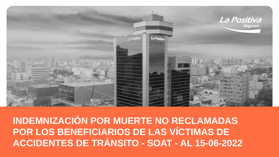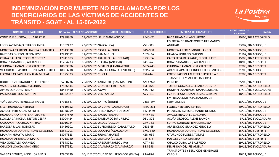

| <b>NOMBRE DEL FALLECIDO</b>        |          | N° Póliza FECHA DEL ACCIDENTE | <b>LUGAR DEL ACCIDENTE</b>             | <b>PLACA DE RODAJE</b> | <b>EMPRESA DE TRANSPORTE</b>                             | <b>FECHA LIMITE DE</b><br><b>RECLAMO</b> | <b>CAUSA</b>        |
|------------------------------------|----------|-------------------------------|----------------------------------------|------------------------|----------------------------------------------------------|------------------------------------------|---------------------|
| CONCHA FIGUEROA, JULIA BERTHA      | 17988860 |                               | 19/06/2020 URUBAMBA (CUSCO)            | 8540-6X                | <b>BACA HUAMAN, ABEL ARONS</b>                           | 19/06/2022 ATROPELLO                     |                     |
| LOPEZ AVENDALO, THIAGO ANDR/       | 11592427 | 23/07/2020 NAZCA (ICA)        |                                        | V7L-803                | <b>EMPRESA DE TRANSPORTES HERMANOS</b><br><b>AGUILAR</b> | 23/07/2022 CHOQUE                        |                     |
| MONTOYA CARRION, ANGELA REMBERTA   | 17943528 | 25/07/2020 CASTILLA (PIURA)   |                                        | B4V-908                | <b>MONTOYA PEREZ, MIGUEL ANGEL</b>                       | 25/07/2022 CHOQUE                        |                     |
| <b>BASTIDAS OVIEDO, KENNY JOSE</b> | 17819572 | 31/07/2020 SAN MIGUEL         |                                        | 1679-BA                | HUALCA SORIANO, WILSON                                   | 31/07/2022 CHOQUE                        |                     |
| CERNA BALLENA, TEOFILO CORTEZ      | 17741683 |                               | 15/08/2020 TRUJILLO (LA LIBERTAD)      | 5733-TA                | CASTALEDA BEJARANO, ELDER ULISES                         | 15/08/2022 ATROPELLO                     |                     |
| ROJAS SAMANIEGO, ALEJANDRO         | 11284733 | 18/08/2020 RECUAY (ANCASH)    |                                        | F4S-547                | ROJAS SAMANIEGO, ALEJANDRO                               | 18/08/2022 DESPISTE                      |                     |
| CHUNGA DAMIAN, JOSE GILBERTO       | 18053896 |                               | 22/08/2020 MOTUPE (LAMBAYEQUE)         | M5S-743                | <b>CHUNGA DAMIAN, JOSE GILBERTO</b>                      | 22/08/2022 DESPISTE                      |                     |
| VILLARROEL CASTRO, JHONATAN ARTURO | 18003718 |                               | 31/08/2020 SANTA CLARA (ATE VITARTE)   | C3P-264                | ARANDA APARICIO, INOCENTE DOMICIANO                      | 31/08/2022 CHOQUE                        |                     |
| ESCOBAR CALAVI, JHONALYN MICHAEL   | 11575323 | 22/09/2020 CHICLA             |                                        | F5I-744                | CORPORACION A & R TRANSPORT S.A.C                        | 22/09/2022 DESPISTE                      |                     |
| RODRIGUEZ FERNANDEZ, FLORENCIO     | 35260736 |                               | 25/09/2020TARAPOTO (SAN MARTIN)        | AMX-928                | <b>TRANSPORTE Y MULTISERVICIOS EL</b><br><b>PRINCIPE</b> | 25/09/2022 CHOQUE                        |                     |
| VASQUEZ DELGADO, AVELINDA          | 17586844 |                               | 9/10/2020 CHAO (LA LIBERTAD)           | T5E-468                | TORRES GONZALES, CESAR AUGUSTO                           | 9/10/2022 ATROPELLO                      |                     |
| APAZA CONDORI, FREDY               | 18444460 | 17/10/2020 AYAVIRI            |                                        | X4C-912                | HUMPIRI LAZARINOS, JUANA LOURDES                         | 17/10/2022 VOLCADURA                     |                     |
| PALMA CURI, JOSE MARTIN            | 18122987 | 18/10/2020 VENTANILLA         |                                        | AVV-130                | EVANGELISTA BAZAN, JOSIAS GERSON                         | 18/10/2022 ATROPELLO                     |                     |
| 4U4UVERO GUTIERREZ, STINGUEL       | 17915547 | 18/10/2020 SATIPO (JUNIN)     |                                        | 2383-EW                | EMPRESA COMERCIALIZADORA DE<br>SERVICIOS DE              | 18/10/2022 CHOQUE                        |                     |
| SILVA HUANCAS, HERNALI             | 17619352 |                               | 20/10/2020 LA COIPA (CAJAMARCA)        | M3O-831                | <b>FLORES HERRERA, LEYTER</b>                            | 20/10/2022 ATROPELLO                     |                     |
| ACHULLI PEREZ, GAD AYTOFEL         | 18128259 |                               | 23/10/2020 IBERIA (MADRE DE DIOS)      | EW-4489                | PROYECTO ESPECIAL MADRE DE DIOS                          | 23/10/2022 CHOQUE                        |                     |
| HUARAHUARA PAYE, BARTOLOME         | 18427870 | 4/11/2020 TACNA (TACNA)       |                                        | V4R-435                | <b>AVALOS BRAVO, LUIS ALONSO</b>                         | 4/11/2022 CHOQUE                         |                     |
| LLOCLLA CAINICELA, NILTON CESAR    | 18004424 |                               | 5/11/2020TAMBURCO (APURIMAC)           | D8V-376                | ACULA OROSCO, ALEXIS RAMON                               |                                          | 5/11/2022 VOLCADURA |
| CASCAMAITA OCHOA, NATHALY          | 18016024 | 5/11/2020 URCOS (CUSCO)       |                                        | C4V-753                | <b>SUPHO CONDORI, RINA MARCELA</b>                       | 5/11/2022 CHOQUE                         |                     |
| BARZOLA RIVAS, RODOLFO             | 18450901 |                               | 14/11/2020 EL PROGRESO (CARABAYLLO)    | 0335-6F                | ARREDONDO GRANDEZ, GINO ELY                              | 14/11/2022 ATROPELLO                     |                     |
| HUARANCCA DURAND, RONY CELESTINO   | 18541703 |                               | 15/11/2020 LUCANAS (AYACUCHO)          | <b>BMS-620</b>         | HUARANCCA DURAND, RONY CELESTINO                         | 15/11/2022 DESPISTE                      |                     |
| MAMANI HUAYTA, MARIO               | 18047823 | 18/11/2020 JULIACA (PUNO)     |                                        | X1N-039                | UTURUNCO FLORES, TOMAS                                   | 18/11/2022 ATROPELLO                     |                     |
| HUAMANI ALBARADO, MARIO            | 17738220 | 18/11/2020 OMACHA (CUSCO)     |                                        | Z1F-875                | PUELLES CHILO, MARTHA                                    | 18/11/2022 DESPISTE                      |                     |
| VIZA GONZALES, CARMELO             | 17548081 |                               | 19/11/2020 AREQUIPA (AREQUIPA)         | A7T-488                | CHALCO CUBA, LUIS ALFREDO                                | 19/11/2022 ATROPELLO                     |                     |
| CHILCON LOAYZA, MAXIMINO           | 17867552 |                               | 19/11/2020 CAJAMARCA (CAJAMARCA)       | <b>BBS-593</b>         | FELIPE RAMOS, IRIS AMELIA                                | 19/11/2022 VOLCADURA                     |                     |
| VARGAS BENITES, ANGELICA ANAIS     | 17803739 |                               | 20/11/2020 CIUDAD DEL PESCADOR (PAITA) | P1A-824                | <b>TRANSPORTES Y SERVICIOS GENERALES</b><br>CAROLI       | 20/11/2022 CHOQUE                        |                     |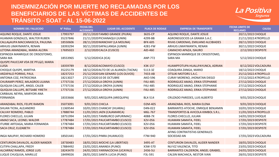

| <b>NOMBRE DEL FALLECIDO</b>                    | N° Póliza | <b>FECHA DEL</b><br><b>ACCIDENTE</b> | <b>LUGAR DEL ACCIDENTE</b>            | <b>PLACA DE RODAJE</b> | <b>EMPRESA DE TRANSPORTE</b>                   | <b>FECHA LIMITE DE</b><br><b>RECLAMO</b> | <b>CAUSA</b> |
|------------------------------------------------|-----------|--------------------------------------|---------------------------------------|------------------------|------------------------------------------------|------------------------------------------|--------------|
| AQUINO ROQUE, DANTE JOSUE                      | 17993797  |                                      | 20/11/2020TAMBO GRANDE (PIURA)        | 3635-CP                | <b>AQUINO ROQUE, DANTE JOSUE</b>               | 20/11/2022 CHOQUE                        |              |
| HUAMAN GONZALES, WALTER RUBEN                  | 35237846  |                                      | 21/11/2020 PICHANAQUI (JUNIN)         | 4299-BB                | AGRONEGOCIOS LA GRAMA S.A.C.                   | 21/11/2022 ATROPELLO                     |              |
| CALLALAUPA MACCANASCCA, PAULINA                | 18550606  |                                      | 28/11/2020 MANCHAY (LA MOLINA)        | <b>BFK-605</b>         | RIVAS CARDENAS, EMILIANO ALCIBIADES            | 28/11/2022 CHOQUE                        |              |
| ARHUIS LIMAYMANTA, RENAN                       | 18393294  |                                      | 30/11/2020SAPALLANGA (JUNIN)          | 4281-FW                | ARHUIS LIMAYMANTA, RENAN                       | 30/11/2022 CHOQUE                        |              |
| LETONA ARANZABAL, MARIA ALCIRA                 | 17695023  |                                      | 2/12/2020 CALCA (CUSCO)               | AID-460                | <b>CAMACHO APAZA, ISAURO</b>                   | 2/12/2022 DESPISTE                       |              |
| ESPINOZA MANRIQUE DE CRISOSTOMO,<br>SARA MA    | 18553965  | 5/12/2020 ICA (ICA)                  |                                       | <b>ANP-772</b>         | ESPINOZA MANRIQUE DE CRISOSTOMO,<br>SARA MA    | 5/12/2022 CHOQUE                         |              |
| QUISPE PAUCCAR VDA DE PFULO, MARIA<br>LUISA    | 18359789  |                                      | 8/12/2020 ACOMAYO (CUSCO)             | X3K-157                | HUAMPFOTUPA HUALLPAYUNCA, ADRIAN               | 8/12/2022 VOLCADURA                      |              |
| <b>CHOQUE QUISPE, MARTHA</b>                   | 35225179  |                                      | 18/12/2020 ALTO DE LA ALIANZA (TACNA) | 5113-3Z                | COAQUIRA ZANGA, MARIO                          | 18/12/2022 CHOQUE                        |              |
| <b>ARZAPALO PORRAS, PAUL</b>                   | 18237253  |                                      | 25/12/2020 SAN GENARO (LOS OLIVOS)    | 7433-AB                | <b>OTSUKI MOTORS S.A.C.</b>                    | 25/12/2022 ATROPELLO                     |              |
| ANTONIA COZ, PATROCINIA                        | 18213027  |                                      | 27/12/202010 DE OCTUBRE               | <b>AKO-596</b>         | <b>CURAY MORENO, JHONATAN DIEGO</b>            | 27/12/2022 ATROPELLO                     |              |
| CHURAMPI PEREZ, MILAGROS LILIANA               | 17737156  |                                      | 27/12/2020 LA OROYA (JUNIN)           | F4U-485                | RODRIGUEZ AMAO, ERIKA STEPHANIE                | 27/12/2022 CHOQUE                        |              |
| QUIQUIA CALLUPE, ANGEL CALEB                   | 17737156  |                                      | 27/12/2020LA OROYA (JUNIN)            | F4U-485                | RODRIGUEZ AMAO, ERIKA STEPHANIE                | 27/12/2022 CHOQUE                        |              |
| QUIQUIA CALLUPE, BETSABE YIRETH                | 17737156  |                                      | 27/12/2020 LA OROYA (JUNIN)           | F4U-485                | RODRIGUEZ AMAO, ERIKA STEPHANIE                | 27/12/2022 CHOQUE                        |              |
| CARBAJAL NEYRA, MARYORI ANA<br><b>FERNANDA</b> | 18333666  |                                      | 9/01/2021 AREQUIPA (AREQUIPA)         | <b>BLX-514</b>         | CRUZADO PAREDES, LUIS ALBERTO                  | 9/01/2023 CHOQUE                         |              |
| ARANZABAL RIOS, FELIPE RAMON                   | 35073091  | 9/01/2021 CHICLA                     |                                       | D <sub>2</sub> M-405   | ARANZABAL RIOS, MARIA ELENA                    | 9/01/2023 CHOQUE                         |              |
| SHUAN TICRA, ALEJANDRO                         | 11369544  |                                      | 10/01/2021 CHANCAY (HUARAL)           | D4N-022                | BARRANTES ATOCHE, ENRIQUE BENJAMIN             | 10/01/2023 CHOQUE                        |              |
| CALVAY ROMERO, PABLO                           | 17888744  |                                      | 11/01/2021 JAEN (CAJAMARCA)           | M6L-767                | <b>TRANSPORTES &amp; AVICOLA KIMBOL S.R.L.</b> | 11/01/2023 ATROPELLO                     |              |
| FLORES CHECLLO, JULIAN                         | 18751994  |                                      | 14/01/2021TAMBURCO (APURIMAC)         | 4088-7X                | FLORES CHECLLO, JULIAN                         | 14/01/2023 CHOQUE                        |              |
| AMAO SACA, LEONEL WALDIR                       | 17787484  |                                      | 17/01/2021 PAUCARTAMBO (CUSCO)        | X2V-056                | HUAMAN SAMATA, FIDEL                           | 17/01/2023 DESPISTE                      |              |
| ITURBE ARTEAGA, MARIA FERNANDA                 | 17787484  |                                      | 17/01/2021 PAUCARTAMBO (CUSCO)        | X2V-056                | HUAMAN SAMATA, FIDEL                           | 17/01/2023 DESPISTE                      |              |
| <b>SACA CRUZ, ELIZABETH</b>                    | 17787484  |                                      | 17/01/2021 PAUCARTAMBO (CUSCO)        | X2V-056                | HUAMAN SAMATA, FIDEL                           | 17/01/2023 DESPISTE                      |              |
| INGA NAUPAY, RICHARD HOMERO                    | 18501441  |                                      | 17/01/2021 PINRA (HUANUCO)            | F7M-940                | AFING CONTRATISTAS GENERALES<br>SOCIEDAD AN    | 17/01/2023 VOLCADURA                     |              |
| CENTURION DAVALOS, ALIDER NANDER               | 18730483  |                                      | 18/01/2021 MOCHE (LA LIBERTAD)        | 3495-AT                | <b>CENTURION DAVALOS, ALIDER NANDER</b>        | 18/01/2023 CHOQUE                        |              |
| <b>CUTIPA CHALLAPA, FREDY</b>                  | 17884492  |                                      | 23/01/2021 ANANEA (PUNO)              | X3W-570                | NUAEZ VALENCIA, TITO                           | 23/01/2023 CHOQUE                        |              |
| <b>ALCARRAZ RAMOS, JORGE LUIS</b>              | 18243470  |                                      | 24/01/2021 YARINACOCHA (UCAYALI)      | 2436-5U                | BARRANTES CALDERON, ANGEL GRABIEL              | 24/01/2023 CHOQUE                        |              |
| LUQUE CHUQUIJA, MARILUZ                        | 18499026  |                                      | 28/01/2021 SANTA LUCIA (PUNO)         | F3L-591                | CALSIN MACHACA, NESTOR IVAN                    | 28/01/2023 DESPISTE                      |              |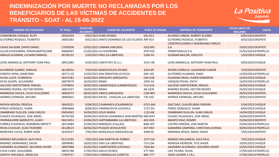

| <b>NOMBRE DEL FALLECIDO</b>         | N° Póliza | <b>FECHA DEL</b><br><b>ACCIDENTE</b> | <b>LUGAR DEL ACCIDENTE</b>                      | <b>PLACA DE RODAJE</b> | <b>EMPRESA DE TRANSPORTE</b>               | <b>FECHA LIMITE DE</b><br><b>RECLAMO</b> | <b>CAUSA</b> |
|-------------------------------------|-----------|--------------------------------------|-------------------------------------------------|------------------------|--------------------------------------------|------------------------------------------|--------------|
| <b>CONDORENA CHOQUE, RUTH</b>       | 18562504  |                                      | 4/02/2021 PUNO (PUNO)                           | V9L-012                | ALVAREZ CANDIA, ROBERT ALVARO              | 4/02/2023 DESPISTE                       |              |
| <b>GUTIERREZ ROSALES, FILIBERTO</b> | 18002383  |                                      | 4/02/2021 SANTO DOMINGO DE LOS OLLEROS A9F-814  |                        | <b>GUTIERREZ ROSALES, FILIBERTO</b>        | 4/02/2023 DESPISTE                       |              |
|                                     |           |                                      |                                                 |                        | <b>CONSTRUCCIONES E INVERSIONES HERLES</b> |                                          |              |
| CASAS SALAZAR, DAVID DANIEL         | 17930508  |                                      | 19/02/2021 CABANA (ANCASH)                      | H2Q-891                | S.A.                                       | 19/02/2023 DESPISTE                      |              |
| ULLOA ECHEVARRIA, EFRAIN BARTOLOME  | 30066907  |                                      | 21/02/2021 LA HUAYRONA                          | ATN-910                | <b>TRANSTIGRILLO S.A</b>                   | 21/02/2023 ATROPELLO                     |              |
| ARAUJO GUZMAN, LUCIANO MANUEL       | 18193132  |                                      | 1/03/2021 VIRU (LA LIBERTAD)                    | 5160-FA                | <b>GUZMAN BAILON, JOSELITO</b>             | 1/03/2023 CHOQUE                         |              |
| LEON JARAMILLO, ANTHONY YEAN PAUL   | 18912985  |                                      | 4/03/2021 CANTO REY (S.J.L.)                    | 3191-HB                | LEON JARAMILLO, ANTHONY YEAN PAUL          | 4/03/2023 CHOQUE                         |              |
| <b>ALVARADO SUAREZ, MANUEL</b>      | 18128554  |                                      | 7/03/2021 MARCAVELICA (PIURA)                   | 4254-8P                | RIVERA CARRILLO, ALEXANDER JUNIOR          | 7/03/2023 DESPISTE                       |              |
| CENEPO VIENA, MARCIANA              | 18371110  |                                      | 12/03/2021 SAN SEBASTIAN (CUSCO)                | X4X-145                | GUTIERREZ HUAMAN, YAMIL                    | 12/03/2023 ATROPELLO                     |              |
| HUISA LLAVE, FLORENCIA              | 18472382  |                                      | 14/03/2021 AREQUIPA (AREQUIPA)                  | C6H-928                | HUAMANI ARIAS, ELMER SOMORFIN              | 14/03/2023 CHOQUE                        |              |
| OCAS QUISPE, ALEJANDRO              | 18870979  | 16/03/2021 RIMAC                     |                                                 | 1050-3A                | VASQUEZ ROJAS, ENITH                       | 16/03/2023 ATROPELLO                     |              |
| SALCEDO SANTISTEBAN, MIGUEL         | 17978055  |                                      | 20/03/2021 LAMBAYEQUE (LAMBAYEQUE)              | Y1U-616                | SALCEDO SANTISTEBAN, MIGUEL                | 20/03/2023 CHOQUE                        |              |
| RAMIREZ RIVERA, HECTOR MOISES       | 18823437  | 24/03/2021 RIMAC                     |                                                 | A8-1639                | RAMIREZ RIVERA, HECTOR MOISES              | 24/03/2023 CHOQUE                        |              |
| MANRIQUE DAVILA, CELSO GUILLERMO    | 18965073  |                                      | 28/03/2021 URACA (AREQUIPA)                     | C5M-801                | MANRIQUE DAVILA, CELSO GUILLERMO           | 28/03/2023 DESPISTE                      |              |
| ASPIROS ESPINOZA, ARTURO            | 18082822  |                                      | 29/03/2021 PATAZ - CHAGUAL (LA LIBERTAD)        | T3E-910                | ASPIROS ESPINOZA, ARTURO                   | 29/03/2023 DESPISTE                      |              |
|                                     |           |                                      |                                                 |                        |                                            |                                          |              |
| NOVOA NOVOA, PRISCILA               | 18435521  |                                      | 5/04/2021 CAJAMARCA (CAJAMARCA)                 | 6752-AM                | DIAZ DIAZ, CLAUDELINDA YSIDORA             | 5/04/2023 CHOQUE                         |              |
| PONCE GONZALES, VILMA               | 18963868  |                                      | 8/04/2021 YARINACOCHA (UCAYALI)                 | 1737-DU                | PONCE GONZALES, VILMA                      | 8/04/2023 CHOQUE                         |              |
| ZAMBRANO GUILLEN, JUAN CARLOS       | 35054563  |                                      | 14/04/2021 JESUS MARIA                          | 1125-AB                | ZAMBRANO GUILLEN, JUAN CARLOS              | 14/04/2023 CHOQUE                        |              |
| CHAVEZ VELASQUEZ, JOSE ANGEL        | 18742330  |                                      | 20/04/2021 NUEVA CAJAMARCA (SAN MARTIN) M8-0547 |                        | CHAVEZ VELASQUEZ, JOSE ANGEL               | 20/04/2023 DESPISTE                      |              |
| IPARRAGUIRRE BARRUETO, JUAN F       | 18413452  |                                      | 23/04/2021 SARTIMBAMBA (LA LIBERTAD)            | ADS-924                | <b>ABANTO DIAZ, ROMER</b>                  | 23/04/2023 DESPISTE                      |              |
| CORREA PLASENCIA, KEAMBERLI BRIYETT | 18514984  |                                      | 25/04/2021 MARQUEZ (CALLAO)                     | <b>BAN-307</b>         | CASTRO HEREDIA, JOSE MARTIN                | 25/04/2023 ATROPELLO                     |              |
| RIVAS CCAHUAY, ELIAS TEODORO        | 18128523  |                                      | 30/04/2021 PUQUIO (AYACUCHO)                    | X4T-944                | GAMARRA CAMPANA, CHRISTIAN JUVENAL         | 30/04/2023 ATROPELLO                     |              |
| MORCERA CUEVA, ROBER JHON           | 18359527  |                                      | 7/05/2021 MOQUEGUA (MOQUEGUA)                   | 4498-0Z                | MIRANDA APAZA, ANGEL DAVID                 | 7/05/2023 DESPISTE                       |              |
| MENDEZ MELGAREJO, ALEX PAUL         | 35113765  |                                      | 7/05/2021 SAN MARTIN DE PORRES                  | 1077-OA                | MENDEZ MELGAREJO, ALEX PAUL                | 7/05/2023 CHOQUE                         |              |
| RAMIREZ HERNANDEZ, DAVID            | 18094082  |                                      | 10/05/2021 VIRU (LA LIBERTAD)                   | T1H-234                | NORIEGA MONZON, TITO JAVIER                | 10/05/2023 CHOQUE                        |              |
| GAMARRA ALVARADO, SEGUNDO JAVIER    | 18007088  |                                      | 16/05/2021 CAMPOVERDE (UCAYALI)                 | 7366-BU                | GAMARRA ALVARADO, SEGUNDO JAVIER           | 16/05/2023 CHOQUE                        |              |
| CHUA CUNO, GUILLERMO                | 18035788  |                                      | 17/05/2021 ASILLO (PUNO)                        | V7T-945                | LIPA TICONA, SILVIA                        | 17/05/2023 ATROPELLO                     |              |
| ZAPATA YERLAQUE, ANGELICA           | 17954757  |                                      | 17/05/2021YURIMAGUAS (LORETO)                   | <b>B8A-777</b>         | DIXOC QUIMIC E.I.R.L.                      | 17/05/2023 ATROPELLO                     |              |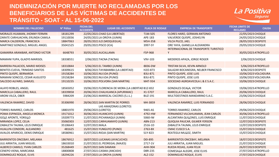

| <b>NOMBRE DEL FALLECIDO</b>                           | N° Póliza            | <b>FECHA DEL</b><br><b>ACCIDENTE</b> | <b>LUGAR DEL ACCIDENTE</b>                        | <b>PLACA DE RODAJE</b>    | <b>EMPRESA DE TRANSPORTE</b>                                   | <b>FECHA LIMITE DE</b><br><b>RECLAMO</b>   | <b>CAUSA</b> |
|-------------------------------------------------------|----------------------|--------------------------------------|---------------------------------------------------|---------------------------|----------------------------------------------------------------|--------------------------------------------|--------------|
| MORALES HUAMAN, JHONNY FERMIN                         | 18181299             |                                      | 22/05/2021 CHAO (LA LIBERTAD)                     | T1M-505                   | FLORES HARO, GERMAN ANTONIO                                    | 22/05/2023 CHOQUE                          |              |
| ZARATE CARHUACHIN, ERLINDA CAMILA                     | 19110036             |                                      | 24/05/2021 LA OROYA (JUNIN)                       | APE-183                   | VALVERDE QUISPE, JOSHELYN                                      | 24/05/2023 CHOQUE                          |              |
| MARCA CALDERON, FRANCISCA                             | 18847063             |                                      | 28/05/2021 ILO (MOQUEGUA)                         | M5H-358                   | <b>VILCA PILCO, JAEL</b>                                       | 28/05/2023 DESPISTE                        |              |
| MARTINEZ GONZALO, MIGUEL ANGEL                        | 35041525             | 29/05/2021 PISCO (ICA)               |                                                   | 3997-5Y                   | ORE YAYA, GIANELLA ALEXANDRA                                   | 29/05/2023 CHOQUE                          |              |
| <b>GAMARRA ARANIBAR, ANTONIO VICTOR</b>               | 6648793              | 30/05/2021 AUCALLAMA                 |                                                   | F5P-968                   | INTERNACIONAL DE TRANSPORTE TURISTICO                          | 30/05/2023 ATROPELLO                       |              |
| MAMANI YUPA, GLADYS MARISOL                           | 18338551             |                                      | 2/06/2021TACNA (TACNA)                            | V9V-103                   | MEDEROS APAZA, JORGE ROGER                                     | 2/06/2023 CHOQUE                           |              |
| BARRERA PALACIOS, MARIO MOISES                        | 18310844             |                                      | 5/06/2021 EL TAMBO (JUNIN)                        | 8836-DW                   | <b>TRISTAN SILVA, KEVIN ARNOLD</b>                             | 5/06/2023 ATROPELLO                        |              |
| BENITES CUEVA, TRINIDAD SANTOS                        | 18309615             |                                      | 8/06/2021TAYABAMBA (LA LIBERTAD)                  | H2O-873                   | SALAZAR BOCANEGRA, NELBER FRANCISCO                            | 8/06/2023 DESPISTE                         |              |
| PINTO QUISPE, BERNARDA                                | 19158284             | 10/06/2021 NULOA (PUNO)              |                                                   | B3U-871                   | PINTO QUISPE, JOSE LUIS                                        | 10/06/2023 VOLCADURA                       |              |
| MAMANI SONCCO, CESAR AUGUSTO                          | 19158284             | 10/06/2021 NULOA (PUNO)              |                                                   | B3U-871                   | PINTO QUISPE, JOSE LUIS                                        | 10/06/2023 VOLCADURA                       |              |
| SALCEDO ALFARO, SAMUEL                                | 19110235             |                                      | 10/06/2021 POLVORA (SAN MARTIN)                   | M4T-934                   | SOCIEDAD AGROAVICOLA L & E S.A.C.                              | 10/06/2023 CHOQUE                          |              |
| <b>ALAYO ROBLES, ANGEL</b>                            | 18565052             |                                      | 19/06/2021 FLORENCIA DE MORA (LA LIBERTAD B1Z-832 |                           | <b>GONZALES OCALA, VICTOR</b>                                  | 19/06/2023 ATROPELLO                       |              |
| MARCILLA CABALLERO, RAUL                              | 18339858             |                                      | 20/06/2021 CHALHUANCA (APURIMAC)                  | X1-5707                   | MARCILLA CABALLERO, RAUL                                       | 20/06/2023 CHOQUE                          |              |
| ARONI VILCA, OBER                                     | 5984209              |                                      | 23/06/2021 MARISCAL CACERES (S.J.L.)              | <b>BUZ-191</b>            | MULTIDESTINOS MANDARINO S.A.C.                                 | 23/06/2023 CHOQUE                          |              |
| VALENCIA RAMIREZ, DAVID                               | 35306990             |                                      | 28/06/2021 SAN MARTIN DE PORRES                   | M4-3859                   | VALENCIA RAMIREZ, LUIS FERNANDO                                | 28/06/2023 CHOQUE                          |              |
|                                                       |                      |                                      | LAS AMAZONAS (LORETO)                             |                           |                                                                |                                            |              |
| TORRES RAMIREZ, CARLOS                                | 18801970             | 29/06/2021 (LORETO)                  |                                                   | 9465-AS                   | TORRES RAMIREZ, CARLOS                                         | 29/06/2023 CHOQUE                          |              |
| POMA ESPINOZA, ANGELA MONICA                          | 19171012             |                                      | 30/06/2021 HUANCAYO (JUNIN)                       | 4792-HW                   | FERNANDEZ VILCAHUAMAN, JEAN CARLOS                             | 30/06/2023 ATROPELLO                       |              |
| <b>GOLE APONTE, YORSILO</b>                           | 19209773             |                                      | 11/07/2021 PICHANAQUI (JUNIN)                     | 5060-IW                   | ALCANTARA QUILONES, LUIS ENRIQUE                               | 11/07/2023 CHOQUE                          |              |
| MIRANDA LOPEZ, CELIA<br>ZABALETA TAUMA, LELIS ENRIQUE | 35060303<br>35106643 | 12/07/2021 MALA                      | 12/07/2021 CARHUAMAYO (JUNIN)                     | <b>ABN-213</b><br>2516-1D | QUIQUIA PAUCAR, GILMER YERSON<br>ZABALETA TAUMA, LELIS ENRIQUE | 12/07/2023 DESPISTE<br>12/07/2023 DESPISTE |              |
| HUALLPA CONDORI, ALEJANDRO                            | 481625               |                                      | 15/07/2021 YUNGUYO (PUNO)                         | 2763-8X                   | CMAC CUSCO S.A.                                                | 15/07/2023 CHOQUE                          |              |
| AVALOS APARICIO, DENIS ENRIQUE                        | 18580961             |                                      | 15/07/2021 RIOJA (SAN MARTIN)                     | S1Y-823                   | REATEGUI MULOZ, SIMITH                                         | 15/07/2023 CHOQUE                          |              |
|                                                       |                      |                                      |                                                   |                           |                                                                |                                            |              |
| BARRIENTOS ONCEBAY, MELANIA                           | 18676912             |                                      | 18/07/2021 LUCANAS (AYACUCHO)                     | D0I-895                   | BARRIENTOS ONCEBAY, MELANIA                                    | 18/07/2023 DESPISTE                        |              |
| JULI ARRATIA, JUAN MIGUEL                             | 18633010             |                                      | 21/07/2021 EL PEDREGAL (MAJES)                    | 2717-1V                   | JULI ARRATIA, JUAN MIGUEL                                      | 21/07/2023 CHOQUE                          |              |
| ALBERCO CAMILO, YVAN CARLOS                           | 35268449             | 26/07/2021 SAN DAMIAN                |                                                   | <b>AHH-904</b>            | RUEDA ROJAS, JUAN FELIX                                        | 26/07/2023 DESPISTE                        |              |
| CENEPO VIENA, MARCIANA                                | 18800808             |                                      | 27/07/2021 CASMA (ANCASH)                         | D8R-235                   | COMESALA ALEGRE, JOSE ELVIS                                    | 27/07/2023 ATROPELLO                       |              |
| DOMINGUEZ ROQUE, ELVIS                                | 18294226             |                                      | 27/07/2021 LA OROYA (JUNIN)                       | ALZ-152                   | DOMINGUEZ ROQUE, ELVIS                                         | 27/07/2023 CHOQUE                          |              |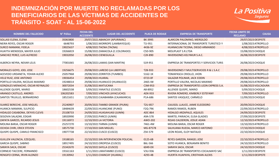

| <b>NOMBRE DEL FALLECIDO</b>       | N° Póliza | <b>FECHA DEL</b><br><b>ACCIDENTE</b> | <b>LUGAR DEL ACCIDENTE</b>           | <b>PLACA DE RODAJE</b> | <b>EMPRESA DE TRANSPORTE</b>                        | <b>FECHA LIMITE DE</b><br><b>RECLAMO</b> | <b>CAUSA</b> |
|-----------------------------------|-----------|--------------------------------------|--------------------------------------|------------------------|-----------------------------------------------------|------------------------------------------|--------------|
| SOLLASI ELENA, ELENA              | 35063800  |                                      | 29/07/2021ABANCAY (APURIMAC)         | <b>BK-3995</b>         | ALARCON PALOMINO, MERGILDO                          | 29/07/2023 DESPISTE                      |              |
| NEIRA REYES, OSCAR ROGER          | 6648793   |                                      | 1/08/2021MORROPE (LAMBAYEQUE)        | T1I-951                | INTERNACIONAL DE TRANSPORTE TURISTICO Y             | 1/08/2023 ATROPELLO                      |              |
| <b>SURCO MAMANI, FIDELA</b>       | 19025637  |                                      | 4/08/2021 TACNA (TACNA)              | 4436-9Z                | HUANACUNI TICONA, DIEGO ARMANDO                     | 4/08/2023 ATROPELLO                      |              |
| HUAYTA MENDOZA, MAYER JULIO       | 19266819  |                                      | 15/08/2021ZAMACOLA (C.COLORADO)      | C5D-905                | MOLIPLAST S.R.LTDA                                  | 15/08/2023 CHOQUE                        |              |
| SANCHEZ PEREZ, LUIS ALFREDO       | 19032050  | 26/08/2021 CIENEGUILLA               |                                      | C <sub>2</sub> K-890   | <b>INVERSIONES KELYMUR S.A.C.</b>                   | 26/08/2023 DESPISTE                      |              |
| ALBERCA NEYRA, NEXAR LELIS        | 77001065  |                                      | 26/08/2021LAMAS (SAN MARTIN)         | S1R-951                | EMPRESA DE TRANSPORTES Y SERVICIOS TURIS            | 26/08/2023 CHOQUE                        |              |
| MORALES GOYO, JOEL JOSE           | 19256675  |                                      | 29/08/2021 LAREDO (LA LIBERTAD)      | T2B-933                | <b>INVERSIONES Y MULTISERVICIOS R &amp; L S.A.C</b> | 29/08/2023 ATROPELLO                     |              |
| ACEVEDO URDANETA, YOHAN ALEXO     | 25057968  |                                      | 29/08/2021ZORRITOS (TUMBES)          | 5162-1K                | TOMAPASCA CRIOLLO, JHON                             | 29/08/2023 ATROPELLO                     |              |
| VELIZ RUIZ, JOSE ANTONIO          | 19036454  | 29/08/2021 HUARAL                    |                                      | 0723-0F                | SALAZAR POLINAR, JACK EDDIN                         | 29/08/2023 ATROPELLO                     |              |
| PORTILLO VALERA, NICOLAS MAXIMO   | 19248014  |                                      | 29/08/2021 HUANUCO (HUANUCO)         | 2465-IW                | PORTILLO VALERA, NICOLAS MAXIMO                     | 29/08/2023 ATROPELLO                     |              |
| GONZALES MENACHO, OSCAR REYNALDO  | 30072034  | 31/08/2021 MATUCANA                  |                                      | C3M-953                | EMPRESA DE TRANSPORTES LEON EXPRESS S.A.            | 31/08/2023 VOLCADURA                     |              |
| ALLENDE QUISPE, MARIO             | 18602538  |                                      | 5/09/2021YANATILE (CUSCO)            | A8-8952                | ALLENDE QUISPE, MARIO                               | 5/09/2023 CHOQUE                         |              |
| ARANGO CASTILLO, ANDRES           | 106202583 |                                      | 7/09/2021 VINCHOS (AYACUCHO)         | ADX-933                | RIVERA ROMERO, KIMBERLY ESTEFANY                    | 7/09/2023 ATROPELLO                      |              |
| SANTOS TRUJILLO, BERNARDINO       | 18521651  |                                      | 11/09/2021 CAJABAMBA (CAJAMARCA)     | P1A-686                | SANTOS VASQUEZ, CARMELO                             | 11/09/2023 CHOQUE                        |              |
| SUAREZ BERECHE, JOSE MIGUEL       | 25240907  |                                      | 20/09/2021 TAMBO GRANDE (PIURA)      | T2U-857                | CAJUSOL LLAUCE, JAIME ELEODORO                      | 20/09/2023 CHOQUE                        |              |
| HUANCA MAMANI, SULPICIO           | 18484639  |                                      | 22/09/2021 HUANCANE (PUNO)           | F2Q-796                | RAMOS RAMOS, RUBEN                                  | 22/09/2023 ATROPELLO                     |              |
| HIDALGO CASABONA, DEYVIS CLEVIS   | 25108733  |                                      | 24/09/2021 HUASAHUASI (JUNIN)        | <b>ADC-864</b>         | <b>HIDALGO ARZAPALO, AQUILES</b>                    | 24/09/2023 DESPISTE                      |              |
| SEGOVIA SALAZAR, EDGAR            | 18920990  |                                      | 27/09/2021 PARCO (JUNIN)             | A9A-578                | MARTEL PARIACHI, ELISA GLADIES                      | 27/09/2023 DESPISTE                      |              |
| ZAPATA GARCES, RICARDO JESUS      | 19116972  | 12/10/2021 LA VICTORIA               |                                      | AWO-202                | ROJAS CALDERON, JOSUE ADAN                          | 12/10/2023 ATROPELLO                     |              |
| MOLINA BARJA, OSCAR ROGER         | 25257270  |                                      | 13/10/2021TARMA (JUNIN)              | 7461-4W                | MOLINA BARJA, OSCAR ROGER                           | 13/10/2023 ATROPELLO                     |              |
| OCHOA CHIRI, ERICK STEVEN         | 18575730  | 17/10/2021 SAN MIGUEL                |                                      | MG-87578               | SALHUANA RUEDA, MARCO ANTONIO                       | 17/10/2023 CHOQUE                        |              |
| QUISPE QUISPE, CAMILO FRANCISCO   | 19077738  |                                      | 22/10/2021 CUSCO (CUSCO)             | Z5K-579                | LEON ROJAS, ELOY NATALIO                            | 22/10/2023 CHOQUE                        |              |
| <b>GUILLEN VALENCIA, EZEQUIEL</b> | 19188165  |                                      | 22/10/2021 SIN INTERVENCION POLICIAL | 0125-6B                | REYES GARZON, RANGEL JOSE                           | 22/10/2023 ATROPELLO                     |              |
| GARCIA QUISPE, SABINO             | 18917495  |                                      | 24/10/2021 OROPESA (CUSCO)           | B6L-566                | SOTO HUANCA, BENJAMIN BENITO                        | 24/10/2023 ATROPELLO                     |              |
| SARAYA SACA, OSCAR                | 25342670  |                                      | 24/10/2021 SAYLLA (CUSCO)            | 6049-DX                | <b>SARAYA SACA, OSCAR</b>                           | 24/10/2023 CHOQUE                        |              |
| CORNEJO TACCERE, FERNANDO         | 19161163  |                                      | 1/11/2021LIMATAMBO (CUSCO)           | V3U-936                | EMPRESA DE TRANSPORTES COCALMAYO SAC                | 1/11/2023 DESPISTE                       |              |
| RENGIFO CERNA, IRVIN ALONZO       | 19130942  |                                      | 1/11/2021 CHANCAY (HUARAL)           | 4293-4B                | HUERTA HUAPAYA, CRISTHIAN ALEXIS                    | 1/11/2023 DESPISTE                       |              |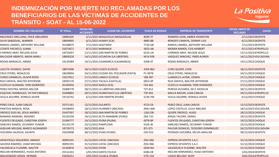

| <b>NOMBRE DEL FALLECIDO</b>              | N° Póliza | <b>FECHA DEL</b><br><b>ACCIDENTE</b> | <b>LUGAR DEL ACCIDENTE</b>             | <b>PLACA DE RODAJE</b> | <b>EMPRESA DE TRANSPORTE</b>       | <b>FECHA LIMITE DE</b><br><b>RECLAMO</b> | <b>CAUSA</b> |
|------------------------------------------|-----------|--------------------------------------|----------------------------------------|------------------------|------------------------------------|------------------------------------------|--------------|
| MELENDEZ ORELLANA, ERICK ABELARDO        | 18983205  |                                      | 2/11/2021MOQUEGUA (MOQUEGUA)           | 8399-7F                | ROMERO LEON, ANBER JHONATAN        | 2/11/2023 DESPISTE                       |              |
| SILVA SANDOVAL, WARNER                   | 18694905  |                                      | 6/11/2021 HUMAY (ICA)                  | 9885-BB                | RENGIFO CAMAYA, DONMY LUIS         | 6/11/2023 DESPISTE                       |              |
| RAMOS LINARES, ANTHONY WILLIAM           | 35108875  | 7/11/2021SAGITARIO                   |                                        | 7726-GB                | RAMOS LINARES, ANTHONY WILLIAM     | 7/11/2023 DESPISTE                       |              |
| CCENTE PACHECO, JUANA                    | 25073672  | 9/11/2021 MARANGA                    |                                        | 5825-AB                | <b>MORAN RAMOS, EVIS HERBERT</b>   | 9/11/2023 ATROPELLO                      |              |
| CHIRINOS ARAY, NELSON JESUS              | 18755697  |                                      | 12/11/2021 SAN MARTIN DE PORRES        | 6235-UA                | CHIRINOS ARAY, NELSON JESUS        | 12/11/2023 ATROPELLO                     |              |
| BALCAZAR ABANTO, NADIA MARLI             | 18858328  |                                      | 14/11/2021 UCUNCHA (LA LIBERTAD)       | M1X-928                | VASQUEZ SANCHEZ, YMER AUWER        | 14/11/2023 VOLCADURA                     |              |
| RODAS BARDALES, ABNER                    | 19135484  |                                      | 14/11/2021 CAJAMARCA (CAJAMARCA)       | 4208-4T                | RODAS BARDALES, ABNER              | 14/11/2023 CHOQUE                        |              |
| LACUTA VIVANCO, DAVID                    | 18872698  |                                      | 18/11/2021 CUSCO (CUSCO)               | A3W-862                | <b>CURO QUISPE, EVER</b>           | 18/11/2023 DESPISTE                      |              |
| CRUZ OTERO, INDALECIO                    | 18638904  |                                      | 24/11/2021 CIUDAD DEL PESCADOR (PAITA) | P1-9078                | CRUZ OTERO, INDALECIO              | 24/11/2023 CHOQUE                        |              |
| CHINO CARMELES, OLIVER ROSSI             | 19227812  |                                      | 27/11/2021 LANGUI (CUSCO)              | V8K-907                | LLAMOCCA LAYME, EDWIN              | 27/11/2023 CHOQUE                        |              |
| RUIZ ZAPATA, WALTER JEFFERSON            | 18595170  |                                      | 27/11/2021TACALA (CASTILLA)            | 6853-0P                | RUIZ ZAPATA, WALTER JEFFERSON      | 27/11/2023 CHOQUE                        |              |
| CCOYLLO HUAMANI, YONI DIOMEDES           | 35105056  | 27/11/2021 NAZCA (ICA)               |                                        | F2A-461                | CCOYLLO HUAMANI, YONI DIOMEDES     | 27/11/2023 CHOQUE                        |              |
| PEREZ DIESTRA, MOISES MILCAR             | 25008778  |                                      | 28/11/2021LA LIBERTAD (ANCASH)         | T2T-812                | PEREDA OLIVARES, KELY JHOSELIN     | 28/11/2023 DESPISTE                      |              |
| ESQUIVEL RODRIGUEZ, VICTOR ENRIQUE       | 25400802  |                                      | 29/11/2021 HUANCHACO (LA LIBERTAD)     | T3P-401                | <b>MALCA RAZURI, JUAN CARLOS</b>   | 29/11/2023 ATROPELLO                     |              |
| VILELA AGUIRRE, RONALD JAVIER            | 19116742  |                                      | 6/12/2021 SAN MARTIN (PIURA)           | 5236-YM                | VILELA AGUIRRE, RONALD JAVIER      | 6/12/2023 CHOQUE                         |              |
|                                          |           |                                      |                                        |                        |                                    |                                          |              |
| PEREZ CRUZ, JUAN CARLOS                  | 25371161  | 12/12/2021DULANTO                    |                                        | 9723-ZA                | PEREZ CRUZ, JUAN CARLOS            | 12/12/2023 DESPISTE                      |              |
| PANTOJA MINAYA, ROSA                     | 19108403  |                                      | 18/12/2021 HUARMEY (ANCASH)            | AMU-660                | LOPEZ CASTILLO, JULIO ABELINO      | 18/12/2023 VOLCADURA                     |              |
| OROSCO DUELAS, JESUS ANDRES              | 25437597  |                                      | 18/12/2021 SAN MARTIN DE PORRES        | 1263-DB                | <b>QUISPE OROSCO, HUGO</b>         | 18/12/2023 CHOQUE                        |              |
| MAMANI MAMANI, MAXIMO                    | 25192339  |                                      | 19/12/2021 ALTO INAMBARI (PUNO)        | Z6A-732                | APAZA TACORA, DANIEL               | 19/12/2023 DESPISTE                      |              |
| FUENTES DELGADO, CHRISTIAN JOSEPH        | 25304777  |                                      | 19/12/2021 PIURA (PIURA)               | 0978-BP                | FUENTES DELGADO, CHRISTIAN JOSEPH  | 19/12/2023 CHOQUE                        |              |
| SANCHEZ RAMOS, OCVANNY YUNIOR            | 35133179  | 23/12/2021PAMPLONA                   |                                        | 5326-JB                | SANCHEZ RAMOS, OCVANNY YUNIOR      | 23/12/2023 CHOQUE                        |              |
| ALBUJAR MELGAR, MARCO ALEXANDER          | 18729273  | 26/12/2021 ASIA                      |                                        | <b>BTJ-375</b>         | PAUCAR DIONICIO, TEODORO DOMINGUEZ | 26/12/2023 VOLCADURA                     |              |
| VIZCARRA VALDIVIA, ASUNTA                | 25029098  |                                      | 30/12/2021 PUNO (PUNO)                 | Z2H-912                | PEDRAZA VIZCARRA, DELVIS AMILCAR   | 30/12/2023 DESPISTE                      |              |
| APAESTEGUI IZQUIERDO, AMADO              | 30092355  |                                      | 31/12/2021 CATAC (ANCASH)              | ZDG-966                | <b>EXPRESS SIFUENTES S.A.C.</b>    | 31/12/2023 CHOQUE                        |              |
| GAVIDIA RAMIREZ, JHAM MICHAEL            | 30092355  |                                      | 31/12/2021 CATAC (ANCASH)              | ZDG-966                | <b>EXPRESS SIFUENTES S.A.C.</b>    | 31/12/2023 CHOQUE                        |              |
| VALENZUELA YLIZARBE, WALTER              | 25183876  | 31/12/2021 OYON                      |                                        | 0204-NA                | VALENZUELA YLIZARBE, WALTER        | 31/12/2023 CHOQUE                        |              |
| INO $\Lambda$ AN HERNANDEZ, HUGO ANTONIO | 25512241  |                                      | 1/01/2022 SANTA FELICIA                | 6586-EB                | INOLAN HERNANDEZ, HUGO ANTONIO     | 1/01/2024 DESPISTE                       |              |
| MALDONADO APAZA, HERNAN                  | 25656251  |                                      | 3/01/2022 JULIACA (PUNO)               | V7D-134                | LUQUE BELLIDO, RUDY                | 3/01/2024 ATROPELLO                      |              |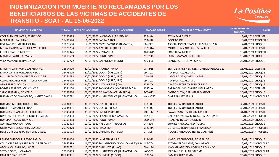

| <b>NOMBRE DEL FALLECIDO</b>           | N° Póliza | <b>FECHA DEL ACCIDENTE</b>  | <b>LUGAR DEL ACCIDENTE</b>                        | <b>PLACA DE RODAJE</b> | <b>EMPRESA DE TRANSPORTE</b>             | <b>FECHA LIMITE DE</b><br><b>RECLAMO</b> | <b>CAUSA</b> |
|---------------------------------------|-----------|-----------------------------|---------------------------------------------------|------------------------|------------------------------------------|------------------------------------------|--------------|
| CCORAHUA ESPINOZA, FRANCISCO          | 25180425  |                             | 3/01/2022 LAMBRAMA (APURIMAC)                     | 7594-8X                | <b>AYMA TAYPE, FELIX</b>                 | 3/01/2024 DESPISTE                       |              |
| MEJIA HUALLPA, JULIAN                 | 25480574  | 6/01/2022 SANTA ISABEL      |                                                   | 8134-RA                | <b>COOPAC KORI</b>                       | 6/01/2024 ATROPELLO                      |              |
| RIVERA CUNE, MARIA ISOLINA            | 18873504  |                             | 7/01/2022 MOYOBAMBA (SAN MARTIN)                  | C6N-961                | ASOCIACION DE TRANSPORTISTAS GOZEN       | 7/01/2024 CHOQUE                         |              |
| MORALES ALVARADO, JOSE WILFREDO       | 18975294  |                             | 9/01/2022 AYACUCHO (TRUJILLO)                     | 0920-0W                | MORALES ALVARADO, JOSE WILFREDO          | 9/01/2024 DESPISTE                       |              |
| FLORES DIAZ, HUMBERTO                 | 25507326  | 16/01/2022 VENTANILLA       |                                                   | AMR-615                | SOTO JARA, MERLIN                        | 16/01/2024 ATROPELLO                     |              |
| MAMANI BAUTISTA, MARIZOL              | 19019689  | 18/01/2022 PUNO (PUNO)      |                                                   | Z5D-948                | LAYME MAMANI, GREGORIO                   | 18/01/2024 CHOQUE                        |              |
| VELA MAMANI, HERMELINDA               | 19107772  |                             | 20/01/2022 CABANILLAS (PUNO)                      | Z6D-666                | <b>BLANCO CHOQUE, VIRGINIO</b>           | 20/01/2024 CHOQUE                        |              |
| MAMANI CANAHUIRI, GABRIELA ROSA       | 18804610  | 21/01/2022 ANANEA (PUNO)    |                                                   | V8A-965                | EMP DE TRANSP EXPRESS TURISMO PERLAS DEL | 21/01/2024 DESPISTE                      |              |
| MIRANDA ALMIRON, ALDAIR SAID          | 25476816  |                             | 22/01/2022 OCOLA (AREQUIPA)                       | V9I-801                | ALMIRON ALVARO, GIL                      | 22/01/2024 CHOQUE                        |              |
| MULLISACA CCOYO, FREDERICK ALDEIR     | 25264798  |                             | 22/01/2022 OCOLA (AREQUIPA)                       | D8W-581                | VASQUEZ VITA, DARYL VICTOR               | 22/01/2024 CHOQUE                        |              |
| CCAHUANA ALMIRON, YASLYM NAYURY       | 25476816  |                             | 22/01/2022 OCOLA (AREQUIPA)                       | V9I-801                | ALMIRON ALVARO, GIL                      | 22/01/2024 CHOQUE                        |              |
| <b>ARIAS FERRO, ODILON</b>            | 19087350  |                             | 24/01/2022 VISTA ALEGRE (ICA)                     | 2036-7Y                | <b>ARAGON SECURITY SERVICES SAC</b>      | 24/01/2024 CHOQUE                        |              |
| BORGES FARRAEZ, JOELVIS JOSE          | 19281200  |                             | 24/01/2022 TAMBOPATA (MADRE DE DIOS)              | 1092-9X                | BARRAGAN MENDIGURE, JOSUE ARON           | 24/01/2024 DESPISTE                      |              |
| <b>SALAS HUAMAN, GONZALO</b>          | 25182674  |                             | 26/01/2022 BELLAVISTA (CAJAMARCA)                 | <b>ACB-612</b>         | CANTO CUTIN, DARWIN ALEXANDER            | 26/01/2024 CHOQUE                        |              |
| HUAMANTICO CHAMORRO, JHANET DAYELI    | 25622781  |                             | 27/01/2022 HUANCAVELICA (HUANCAVELICA)            | W4W-727                | DIAZ RAMIREZ, JESUS                      | 27/01/2024 VOLCADURA                     |              |
|                                       |           |                             |                                                   |                        |                                          |                                          |              |
| HUAMAN MOROCCOLLA, FRIDA              | 25034881  | 30/01/2022 CUSCO (CUSCO)    |                                                   | X3Y-909                | <b>TORRES PALOMINO, BRAULIO</b>          | 30/01/2024 DESPISTE                      |              |
| <b>QUISPE HUAMAN, HERNAN</b>          | 25034881  | 30/01/2022 CUSCO (CUSCO)    |                                                   | X3Y-909                | TORRES PALOMINO, BRAULIO                 | 30/01/2024 DESPISTE                      |              |
| HUANCAS HUANCAS, ALEX RODRIGO         | 19149408  | 31/01/2022 LA UNION (PIURA) |                                                   | MCQ-32107              | <b>SAYAGO SANTOS, HENRY JUNIOR</b>       | 31/01/2024 DESPISTE                      |              |
| NINATANTA REVILLA, HECTOR EDUARDO     | 18964354  |                             | 5/02/2022 EL SALITRE (CAJAMARCA)                  | T8A-818                | GALLARDO VILLAVICENCIO, JOSE ANTONIO     | 5/02/2024 ATROPELLO                      |              |
| HUAMAN TICULA, DIONICIO               | 19109483  | 6/02/2022 PUNO (PUNO)       |                                                   | <b>BGD-592</b>         | <b>HUAMAN TICULA, DIONICIO</b>           | 6/02/2024 CHOQUE                         |              |
| ALVAREZ HUAMANI, RAUL                 | 19182893  |                             | 10/02/2022 AREQUIPA (AREQUIPA)                    | V4J-810                | SUMIRE HANCCO, ALEX TOMAS                | 10/02/2024 CHOQUE                        |              |
| ORTIZ MARQUEZ, SARITA VANESSA         | 25176870  | 11/02/2022 PISCO (ICA)      |                                                   | 9920-BA                | <b>GONZALEZ HERNANDEZ, FRANCISCO</b>     | 11/02/2024 ATROPELLO                     |              |
| DEL SOLAR CABRERA, FERNANDO ABEL      | 19300573  |                             | 12/02/2022 CHINCHA BAJA (ICA)                     | V7I-305                | AUQUES HINOJOSA, HENRY GIAMPIER          | 12/02/2024 ATROPELLO                     |              |
| RAMOS CHIROQUE, PEDRO PABLO           | 25346054  | 13/02/2022 LA ARENA (PIURA) |                                                   | P1P-161                | MARQUEZ CHIROQUE, ROSA NILDA             | 13/02/2024 CHOQUE                        |              |
| CALLA CRUZ DE QUISPE, MARIA PETRONILA | 25655589  |                             | 16/02/2022 SAN ANTONIO DE CHUCA (AREQUIPA V3B-704 |                        | ESTOFANERO RAMOS, IVAN ARNOL             | 16/02/2024 VOLCADURA                     |              |
| ARCAYA CALAMULLO, JAVIER              | 19066721  |                             | 17/02/2022 CHUCUITO (PUNO)                        | <b>CON-124</b>         | MAMANI ATENCIO, PORFIRIO ROLANDO         | 17/02/2024 CHOQUE                        |              |
| SOTO FLORES, JHONATAN                 | 25215499  |                             | 17/02/2022 HUANCAVELICA (HUANCAVELICA)            | V6B-903                | MEDRANO CUILLAR, SALOME                  | 17/02/2024 VOLCADURA                     |              |
| RAMIREZ DIAZ, JENRY                   | 106248381 |                             | 25/02/2022 QUIMBIRI (CUSCO)                       | 6590-VA                | RAMIREZ DIAZ, JENRY                      | 25/02/2024 CHOQUE                        |              |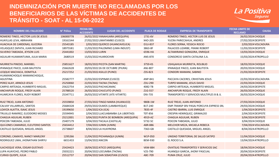

| <b>NOMBRE DEL FALLECIDO</b>          | N° Póliza | <b>FECHA DEL</b><br><b>ACCIDENTE</b> | <b>LUGAR DEL ACCIDENTE</b>           | <b>PLACA DE RODAJE</b> | <b>EMPRESA DE TRANSPORTE</b>                                         | <b>FECHA LIMITE DE</b><br><b>RECLAMO</b> | <b>CAUSA</b> |
|--------------------------------------|-----------|--------------------------------------|--------------------------------------|------------------------|----------------------------------------------------------------------|------------------------------------------|--------------|
| ROMERO TINEO, HECTOR LUIS DE JESUS   | 106000778 |                                      | 26/02/2022 YANAHUARA (AREQUIPA)      | 1731-6V                | ROMERO TINEO, HECTOR LUIS DE JESUS                                   | 26/02/2024 CHOQUE                        |              |
| HUAYLLAS LEVA, ABRAHAN               | 19161544  |                                      | 27/02/2022 LIMATAMBO (CUSCO)         | X4O-205                | YUCRA PARICCAHUA, ANDRES                                             | 27/02/2024 DESPISTE                      |              |
| HUACHUA DE CARDENAS, GLICERIA        | 25543185  |                                      | 2/03/2022 QUERCO (HUANCAVELICA)      | D1U-837                | <b>FLORES SERNA, YESSICA ROCIO</b>                                   | 2/03/2024 VOLCADURA                      |              |
| VELASQUEZ ZAPATA, JUAN RICHARD       | 18975581  |                                      | 11/03/2022 PALOMINO (LIMA INDUST)    | 3863-8F                | PALACIOS LIZARBE, FRANK ROBERT                                       | 11/03/2024 DESPISTE                      |              |
| SILVERIO TABOADA, JEYSON LUIS        | 25441002  | 13/03/2022 LURIN                     |                                      | 6596-HA                | ALTAMIRANO GONGORA, ENRIQUE                                          | 13/03/2024 CHOQUE                        |              |
| AGUILAR HUAMANTUMA, JULIA MARIA      | 2680519   | 15/03/2022 HUAROCHIRI                |                                      | ANS-870                | CONSORCIO SANTA CATALINA S.A.                                        | 15/03/2024 ATROPELLO                     |              |
| MURRIETA PINEDO, MARIBEL             | 25851627  |                                      | 18/03/2022 PICOTA (SAN MARTIN)       | 3759-KS                | USHILAHUA MURRIETA, ROLIBLID                                         | 18/03/2024 CHOQUE                        |              |
| IPANAQUE PAICO, JUAN BAUTISTA        | 25662628  |                                      | 20/03/202226 DE OCTUBRE (PIURA)      | ANJ-807                | IPANAQUE PAICO, JUAN BAUTISTA                                        | 20/03/2024 CHOQUE                        |              |
| LEQQUE MACHACA, DOMITILA             | 25217252  | 21/03/2022 ASILLO (PUNO)             |                                      | Z3S-823                | <b>CONDORI MAMANI, SABINO</b>                                        | 21/03/2024 DESPISTE                      |              |
| HUAMANCHOQUE MAMANCHOQUE,            | 25582777  |                                      | 22/03/2022 ESPINAR (CUSCO)           |                        |                                                                      |                                          |              |
| AGUSTINA<br>PEREZ ALAY, ARNOLD JESUS | 25250060  | 22/03/2022 TACNA (TACNA)             |                                      | ANP-841<br>Z3U-290     | PACCAYA CACERES, CRHISTIAN JESUS<br><b>TURPO MAMANI, JESUS DAVID</b> | 22/03/2024 VOLCADURA                     |              |
| CARPIO ARTEAGA, HUMBERTO MIGUEL      | 25622754  | 24/03/2022 PACHACAMAC                |                                      | 4082-TB                | CARPIO ARTEAGA, HUMBERTO MIGUEL                                      | 22/03/2024 CHOQUE<br>24/03/2024 DESPISTE |              |
| ANCHAPURI ROQUE, FREDY ALAIN         | 25788520  |                                      | 26/03/2022 CHUCUITO (PUNO)           | Z1G-557                | ANCHAPURI ROQUE, FREDY ALAIN                                         | 26/03/2024 CHOQUE                        |              |
| HUARCAYA FLORES, RUDY ROBERT         | 25347711  |                                      | 26/03/2022 VITARTE (ATE-VITARTE)     | D9J-735                | TRANSPORTES Y SERVICIOS MULTIPLES B & JL                             | 26/03/2024 CHOQUE                        |              |
|                                      |           |                                      |                                      |                        |                                                                      |                                          |              |
| RUIZ TREJO, JUAN ANTONIO             | 25559850  |                                      | 27/03/2022 TINGO MARIA (HUANUCO)     | 9808-1W                | RUIZ TREJO, JUAN ANTONIO                                             | 27/03/2024 CHOQUE                        |              |
| CALVAY VILLARRUEL, SANTOS            | 25684328  |                                      | 29/03/2022 OLMOS (LAMBAYEQUE)        | B1T-240                | EMP.TRANSP SRV PASAJ PORCUYA EXPRESS SRL                             | 29/03/2024 CHOQUE                        |              |
| LOAYZA ALATTA, ISAAC JESUS           | 19199650  | 1/04/2022 ICA (ICA)                  |                                      | 7835-4F                | <b>CASTRO IBARRA, LUIS ENRIQUE</b>                                   | 1/04/2024 DESPISTE                       |              |
| TRUJILLO RAMIREZ, ELEODORO MOISES    | 25594945  |                                      | 2/04/2022 LLACUABAMBA (LA LIBERTAD)  | T0T-856                | CRESPIN HENRIQUEZ, GRIMALDO                                          | 2/04/2024 DESPISTE                       |              |
| CHAGUA AGUILAR, RUBEN                | 25212001  |                                      | 3/04/2022 PUNTA DE BOMBON (AREQUIPA) | 4919-AZ                | <b>CHAGUA AGUILAR, RUBEN</b>                                         | 3/04/2024 DESPISTE                       |              |
| POICON TABOADA, JULIO                | 25407179  |                                      | 3/04/2022 TACALA (CASTILLA)          | 5732-5C                | POICON TABOADA, JULIO                                                | 3/04/2024 CHOQUE                         |              |
| QUILONES CAMARGO, ELEUTERIO SANTOS   | 25654412  | 7/04/2022 JUNIN (JUNIN)              |                                      | <b>ABR-886</b>         | MELCHOR MEZA, MICAELA REBECA                                         | 7/04/2024 VOLCADURA                      |              |
| CASTILLO QUESADA, MIGUEL ANGEL       | 25738607  | 8/04/2022LA HUAYRONA                 |                                      | 7363-GB                | CASTILLO QUESADA, MIGUEL ANGEL                                       | 8/04/2024 ATROPELLO                      |              |
|                                      |           |                                      |                                      |                        |                                                                      |                                          |              |
| CORONEL CAMAYO, NANCY MARLENY        | 1295266   |                                      | 11/04/2022 PICHANAQUI (JUNIN)        | W1P-050                | UNIDAD TERRITORIAL DE SALUD SATIPO                                   | 11/04/2024 CHOQUE                        |              |
| RODRIGUEZ LIMA, JHONATHAN SHIRYU     | 6651433   | 13/04/2022 ANCON                     |                                      | <b>BEM-930</b>         | EL ROCIO S.A.                                                        | 13/04/2024 ATROPELLO                     |              |
| ILACHOQUE VERA, EDGAR GUSTAVO        | 25424423  |                                      | 18/04/2022 ATICO (AREQUIPA)          | V6W-884                | <b>OVATSUG TRANSPORTES Y SERVICIOS SAC</b>                           | 18/04/2024 CHOQUE                        |              |
| LUPA HUAYCHO, PEDRO PABLO            | 25032221  |                                      | 20/04/2022 LOCUMBA (TACNA)           | V2S-790                | HUANQUI GARCIA, JHONY PASCUAL                                        | 20/04/2024 DESPISTE                      |              |
| CURASI QUISPE, JULIA                 | 25512737  |                                      | 20/04/2022 SAN SEBASTIAN (CUSCO)     | ABC-709                | PUMA CRUZ, JULIO                                                     | 20/04/2024 ATROPELLO                     |              |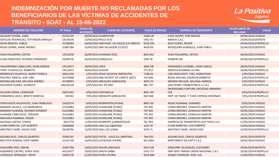

| <b>NOMBRE DEL FALLECIDO</b>           | N° Póliza | <b>FECHA DEL</b><br><b>ACCIDENTE</b> | <b>LUGAR DEL ACCIDENTE</b>               | <b>PLACA DE RODAJE</b> | <b>EMPRESA DE TRANSPORTE</b>                       | <b>FECHA LIMITE DE</b><br><b>RECLAMO</b> | <b>CAUSA</b> |
|---------------------------------------|-----------|--------------------------------------|------------------------------------------|------------------------|----------------------------------------------------|------------------------------------------|--------------|
| SALAZAR TICONA, JUAN                  | 25741319  | 20/04/2022 HUAROCHIRI                |                                          | 5308-UB                | CAYO QUISPE, YERI MAICOL                           | 20/04/2024 CHOQUE                        |              |
| SOTELDO RODRIGUEZ, YEFFERSON ENRIQUE  | 19138196  | 23/04/2022 PISCO (ICA)               |                                          | V9D-751                | NIRAVA S.A.C.                                      | 23/04/2024 DESPISTE                      |              |
| SICHA BENITES, PABLO                  | 25768589  |                                      | 24/04/2022 SANTIAGO DE CHUCO (LA LIBERTA | M1B-281                | <b>RUIZ FLORES, ROGER</b>                          | 24/04/2024 ATROPELLO                     |              |
| ROJAS SIERRA, JAIME ANDRES            | 25487586  |                                      | 25/04/2022 SAN SALVADOR (CUSCO)          | 8418-0X                | MOSQUERA GONZALEZ, JUAN PABLO                      | 25/04/2024 DESPISTE                      |              |
| <b>VEGA PALOMINO, DEYVIS</b>          | 19316258  |                                      | 26/04/2022 HUAMANI (ICA)                 | <b>BAG-942</b>         | <b>VEGA PALOMINO, DEYVIS</b>                       | 26/04/2024 CHOQUE                        |              |
| LLOSA MOSCOSO, RICARDO FERNANDO       | 25948739  | 26/04/2022 SURQUILLO                 |                                          | 5497-IB                | <b>DOMEIN SAC</b>                                  | 26/04/2024 ATROPELLO                     |              |
| VALDERRAMA CABALLERO, DEAN ADRIAN     | 19125872  | 28/04/2022 LINCE                     |                                          | 4965-DB                | FERNANDEZ CHOMBO, JHON CARLOS                      | 28/04/2024 CHOQUE                        |              |
| TAIPE YUCRAVILCA, ROBERTO             | 19312815  | 29/04/2022 AYAVIRI                   |                                          | Z7C-812                | ARIZACA HUAMAN, ELVIRA                             | 29/04/2024 ATROPELLO                     |              |
| RODRIGUEZ HUAYHUA, NARDY FIORELA      | 26031396  |                                      | 1/05/2022 DEAN VALDIVIA (AREQUIPA)       | 7186-6V                | CARI INOFUENTE, YOEL JHONATHAN                     | 1/05/2024 CHOQUE                         |              |
| PAUTRAT GARCIA, JOSE CIRO             | 35270008  |                                      | 1/05/2022 SAN VICENTE DE CANETE (DIST)   | Y1K-846                | ROJAS MOLINA, EDERZON ROBERTO                      | 1/05/2024 ATROPELLO                      |              |
| MEDINA MELGAR, MILUSKA ANDREA         | 25790053  |                                      | 2/05/2022 AREQUIPA (AREQUIPA)            | 3832-5V                | MEDINA MELGAR, MILUSKA ANDREA                      | 2/05/2024 CHOQUE                         |              |
| FIGUEROA SUAREZ, GILBERTO             | 106226530 | 2/05/2022 SOL DE ORO                 |                                          | <b>BBL-797</b>         | SAN PEDRO COMBUSTIBLES S.C.R.L.                    | 2/05/2024 ATROPELLO                      |              |
| SALAZAR SERNA, CONFESOR               | 25053392  | 4/05/2022 VENTANILLA                 |                                          | <b>BEN-745</b>         | INVERSIONES FORTUNE SOCIEDAD ANENIMA<br><b>CER</b> | 4/05/2024 ATROPELLO                      |              |
| FERNANDEZ ANCO, BENITO MARCIAL        | 559341    |                                      | 7/05/2022 AREQUIPA (AREQUIPA)            | B2K-968                | EMP. DE TRANS. Y TURIS EXPRESS INTERNACI           | 7/05/2024 ATROPELLO                      |              |
| CIENFUEGOS VALDIVIEZO, JUAN FRANCISCO | 25423374  |                                      | 9/05/2022 MORROPON (PIURA)               | 8897-GS                | ROJAS HUAMAN, GERARDO                              | 9/05/2024 CHOQUE                         |              |
| MAMANI SACACA, LUZ MARGARITA          | 25162882  |                                      | 10/05/2022 HUANCANE (PUNO)               | T4Y-492                | CERNA BRIONES, OSWALDO MARTIN                      | 10/05/2024 CHOQUE                        |              |
| MAMANI HUAMAN, RICARDO KENNEDY        | 25162882  |                                      | 10/05/2022 HUANCANE (PUNO)               | T4Y-492                | CERNA BRIONES, OSWALDO MARTIN                      | 10/05/2024 CHOQUE                        |              |
| HUAMAN TONCCOCHI, ZORAIDA             | 25162882  |                                      | 10/05/2022 HUANCANE (PUNO)               | T4Y-492                | CERNA BRIONES, OSWALDO MARTIN                      | 10/05/2024 CHOQUE                        |              |
| MACHACA MAMANI, ROGER                 | 25162882  |                                      | 10/05/2022 HUANCANE (PUNO)               | T4Y-492                | <b>CERNA BRIONES, OSWALDO MARTIN</b>               | 10/05/2024 CHOQUE                        |              |
| SALDALA LOAYZA, EFRAIN                | 6652774   |                                      | 11/05/2022 MORROPE (LAMBAYEQUE)          | T6L-959                | EMPRESA DE TRANSPORTES AVE FENIX S.A.C.            | 11/05/2024 CHOQUE                        |              |
| LUJAN MARILOS, LUIS ALBERTO           | 25000689  |                                      | 12/05/2022 VIRU (LA LIBERTAD)            | 1027-9T                | LUJAN MARILOS, LUIS ALBERTO                        | 12/05/2024 CHOQUE                        |              |
| AROTINCO SAIRE, DAVID EVER            | 25638784  |                                      | 13/05/2022 SAN LUIS (LIMA)               | 5070-7L                | AROTINCO SAIRE, DAVID EVER                         | 13/05/2024 ATROPELLO                     |              |
| AQUINO RUIZ, CARLOS GILBERTO          | 25405197  |                                      | 16/05/2022 PATAZ - VIJUS (LA LIBERTAD)   | <b>TBA-932</b>         | AQUINO RUIZ, CARLOS GILBERTO                       | 16/05/2024 DESPISTE                      |              |
| BAUTISTA ROMAN, EDER FARINE           | 25101740  |                                      | 16/05/2022 CATACAOS (PIURA)              | M3-2854                | NORTHWEST SECURITY S.A.C                           | 16/05/2024 CHOQUE                        |              |
| <b>IZAGUIRRE RIOS, ZIRENA</b>         | 25067786  |                                      | 19/05/2022 SIHUAS (ANCASH)               | 6913-OB                | IZAGUIRRE VELASQUEZ, ELEODORO                      | 19/05/2024 DESPISTE                      |              |
| ALBORNOZ CASTRO, YORSY HOEL           | 30153677  | 19/05/2022 SANTA ISABEL              |                                          | D10-773                | EMP SERV TRANSP UNION NACIONAL S.A.C               | 19/05/2024 ATROPELLO                     |              |
| CHIROQUE SERNAQUE, FREDY              | 19301278  | 21/05/2022 PIURA (PIURA)             |                                          | M1B-689                | <b>GOMEZ ESPINOZA, JOSE LUIS</b>                   | 21/05/2024 CHOQUE                        |              |